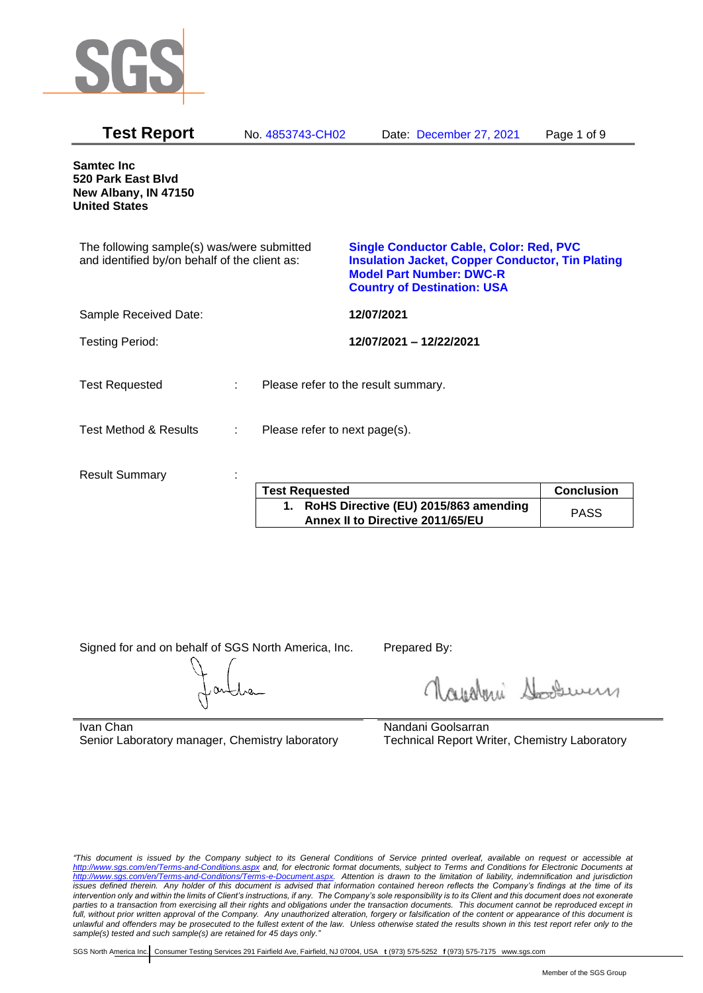

| <b>Test Report</b>                                                                          | No. 4853743-CH02              | Date: December 27, 2021                                                                                                                                                            | Page 1 of 9 |
|---------------------------------------------------------------------------------------------|-------------------------------|------------------------------------------------------------------------------------------------------------------------------------------------------------------------------------|-------------|
| Samtec Inc<br>520 Park East Blvd<br>New Albany, IN 47150<br><b>United States</b>            |                               |                                                                                                                                                                                    |             |
| The following sample(s) was/were submitted<br>and identified by/on behalf of the client as: |                               | <b>Single Conductor Cable, Color: Red, PVC</b><br><b>Insulation Jacket, Copper Conductor, Tin Plating</b><br><b>Model Part Number: DWC-R</b><br><b>Country of Destination: USA</b> |             |
| Sample Received Date:                                                                       |                               | 12/07/2021                                                                                                                                                                         |             |
| <b>Testing Period:</b>                                                                      |                               | 12/07/2021 - 12/22/2021                                                                                                                                                            |             |
| <b>Test Requested</b>                                                                       | ÷.                            | Please refer to the result summary.                                                                                                                                                |             |
| <b>Test Method &amp; Results</b>                                                            | Please refer to next page(s). |                                                                                                                                                                                    |             |
| <b>Result Summary</b>                                                                       | $\sim$<br>$\sim$ $\sim$       | <b>Contract Contract Contract</b>                                                                                                                                                  | $\sim$      |

| <b>Test Requested</b>                                                        | <b>Conclusion</b> |
|------------------------------------------------------------------------------|-------------------|
| 1. RoHS Directive (EU) 2015/863 amending<br>Annex II to Directive 2011/65/EU | <b>PASS</b>       |

Signed for and on behalf of SGS North America, Inc. Prepared By:

Nightani Soodwer

Ivan Chan Senior Laboratory manager, Chemistry laboratory Nandani Goolsarran Technical Report Writer, Chemistry Laboratory

*"This document is issued by the Company subject to its General Conditions of Service printed overleaf, available on request or accessible at <http://www.sgs.com/en/Terms-and-Conditions.aspx> and, for electronic format documents, subject to Terms and Conditions for Electronic Documents at [http://www.sgs.com/en/Terms-and-Conditions/Terms-e-Document.aspx.](http://www.sgs.com/en/Terms-and-Conditions/Terms-e-Document.aspx) Attention is drawn to the limitation of liability, indemnification and jurisdiction issues defined therein. Any holder of this document is advised that information contained hereon reflects the Company's findings at the time of its intervention only and within the limits of Client's instructions, if any. The Company's sole responsibility is to its Client and this document does not exonerate parties to a transaction from exercising all their rights and obligations under the transaction documents. This document cannot be reproduced except in full, without prior written approval of the Company. Any unauthorized alteration, forgery or falsification of the content or appearance of this document is unlawful and offenders may be prosecuted to the fullest extent of the law. Unless otherwise stated the results shown in this test report refer only to the sample(s) tested and such sample(s) are retained for 45 days only."*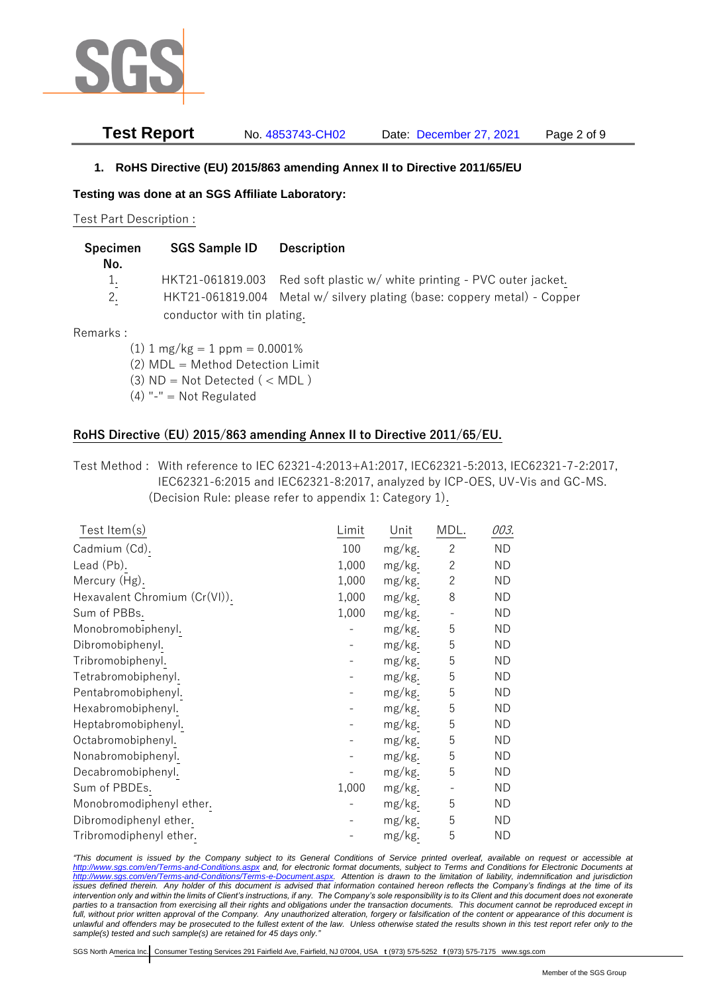

### **Test Report** No. 4853743-CH02 Date: December 27, 2021 Page 2 of 9

#### **1. RoHS Directive (EU) 2015/863 amending Annex II to Directive 2011/65/EU**

**Testing was done at an SGS Affiliate Laboratory:**

Test Part Description :

| Specimen<br>No. | <b>SGS Sample ID</b>               | <b>Description</b>                                                       |
|-----------------|------------------------------------|--------------------------------------------------------------------------|
|                 |                                    |                                                                          |
| $1_{.}$         |                                    | HKT21-061819.003 Red soft plastic w/ white printing - PVC outer jacket.  |
| 2.              |                                    | HKT21-061819.004 Metal w/ silvery plating (base: coppery metal) - Copper |
|                 | conductor with tin plating.        |                                                                          |
| Remarks :       |                                    |                                                                          |
|                 | $(1)$ 1 mg/kg = 1 ppm = 0.0001%    |                                                                          |
|                 | (2) MDL = Method Detection Limit   |                                                                          |
|                 | $(3)$ ND = Not Detected ( $<$ MDL) |                                                                          |

(4) "-" = Not Regulated

#### **RoHS Directive (EU) 2015/863 amending Annex II to Directive 2011/65/EU.**

Test Method : With reference to IEC 62321-4:2013+A1:2017, IEC62321-5:2013, IEC62321-7-2:2017, IEC62321-6:2015 and IEC62321-8:2017, analyzed by ICP-OES, UV-Vis and GC-MS. (Decision Rule: please refer to appendix 1: Category 1).

| Test Item $(s)$               | Limit | Unit   | MDL.                     | 003.      |
|-------------------------------|-------|--------|--------------------------|-----------|
| Cadmium (Cd).                 | 100   | mg/kg. | $\overline{c}$           | ND        |
| Lead (Pb).                    | 1,000 | mg/kg. | $\mathbf{2}$             | <b>ND</b> |
| Mercury (Hg).                 | 1,000 | mg/kg. | $\overline{c}$           | ND        |
| Hexavalent Chromium (Cr(VI)). | 1,000 | mg/kg. | 8                        | ND        |
| Sum of PBBs.                  | 1,000 | mg/kg. |                          | ND        |
| Monobromobiphenyl.            |       | mg/kg. | 5                        | ND        |
| Dibromobiphenyl.              |       | mg/kg. | 5                        | ND        |
| Tribromobiphenyl.             |       | mg/kg. | 5                        | ND        |
| Tetrabromobiphenyl.           |       | mg/kg. | 5                        | ND        |
| Pentabromobiphenyl.           |       | mg/kg. | 5                        | <b>ND</b> |
| Hexabromobiphenyl.            |       | mg/kg. | 5                        | ND        |
| Heptabromobiphenyl.           |       | mg/kg. | 5                        | ND        |
| Octabromobiphenyl.            |       | mg/kg. | 5                        | ND        |
| Nonabromobiphenyl.            |       | mg/kg. | 5                        | ND        |
| Decabromobiphenyl.            |       | mg/kg. | 5                        | ND        |
| Sum of PBDEs.                 | 1,000 | mg/kg. | $\overline{\phantom{0}}$ | <b>ND</b> |
| Monobromodiphenyl ether.      |       | mg/kg. | 5                        | <b>ND</b> |
| Dibromodiphenyl ether.        |       | mg/kg. | 5                        | ND        |
| Tribromodiphenyl ether.       |       | mg/kg. | 5                        | <b>ND</b> |

*"This document is issued by the Company subject to its General Conditions of Service printed overleaf, available on request or accessible at <http://www.sgs.com/en/Terms-and-Conditions.aspx> and, for electronic format documents, subject to Terms and Conditions for Electronic Documents at [http://www.sgs.com/en/Terms-and-Conditions/Terms-e-Document.aspx.](http://www.sgs.com/en/Terms-and-Conditions/Terms-e-Document.aspx) Attention is drawn to the limitation of liability, indemnification and jurisdiction issues defined therein. Any holder of this document is advised that information contained hereon reflects the Company's findings at the time of its intervention only and within the limits of Client's instructions, if any. The Company's sole responsibility is to its Client and this document does not exonerate*  parties to a transaction from exercising all their rights and obligations under the transaction documents. This document cannot be reproduced except in *full, without prior written approval of the Company. Any unauthorized alteration, forgery or falsification of the content or appearance of this document is unlawful and offenders may be prosecuted to the fullest extent of the law. Unless otherwise stated the results shown in this test report refer only to the sample(s) tested and such sample(s) are retained for 45 days only."*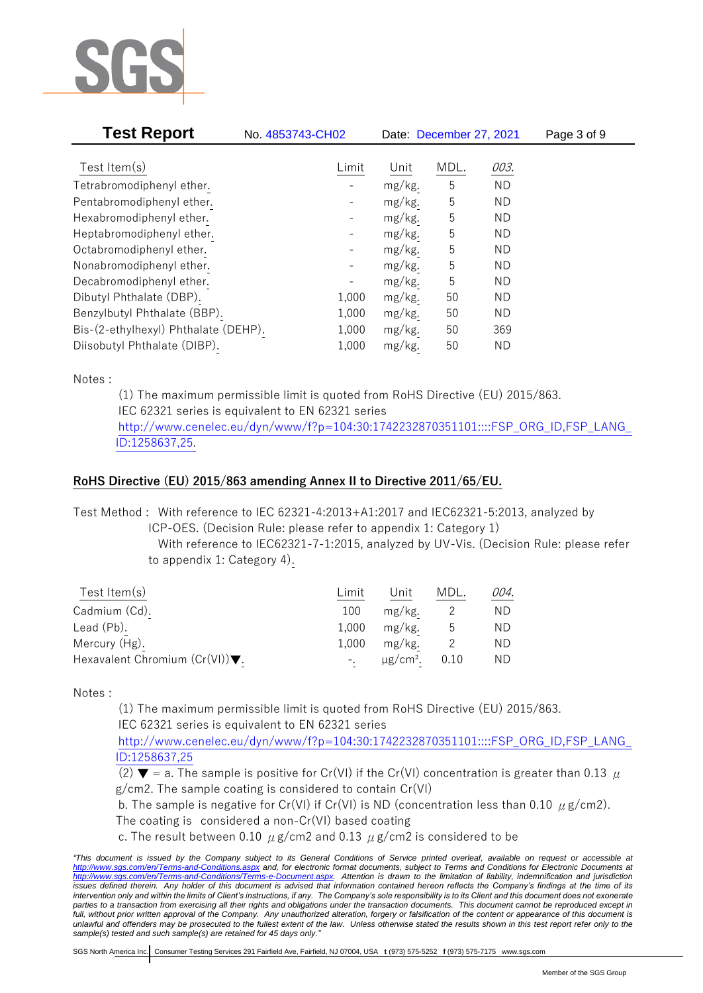

| <b>Test Report</b>                   | No. 4853743-CH02             |        | Date: December 27, 2021 |           | Page 3 of 9 |
|--------------------------------------|------------------------------|--------|-------------------------|-----------|-------------|
|                                      |                              |        |                         |           |             |
| Test Item $(s)$                      | Limit                        | Unit   | MDL.                    | 003.      |             |
| Tetrabromodiphenyl ether.            |                              | mg/kg. | 5                       | <b>ND</b> |             |
| Pentabromodiphenyl ether.            |                              | mg/kg. | 5                       | <b>ND</b> |             |
| Hexabromodiphenyl ether.             | $\qquad \qquad \blacksquare$ | mg/kg. | 5                       | ΝD        |             |
| Heptabromodiphenyl ether.            |                              | mg/kg. | 5                       | ΝD        |             |
| Octabromodiphenyl ether.             |                              | mg/kg. | 5                       | ΝD        |             |
| Nonabromodiphenyl ether.             |                              | mg/kg. | 5                       | ΝD        |             |
| Decabromodiphenyl ether.             |                              | mg/kg. | 5                       | <b>ND</b> |             |
| Dibutyl Phthalate (DBP).             | 1,000                        | mg/kg. | 50                      | ΝD        |             |
| Benzylbutyl Phthalate (BBP).         | 1,000                        | mg/kg. | 50                      | ΝD        |             |
| Bis-(2-ethylhexyl) Phthalate (DEHP). | 1,000                        | mg/kg. | 50                      | 369       |             |
| Diisobutyl Phthalate (DIBP).         | 1,000                        | mg/kg. | 50                      | ND        |             |

Notes :

(1) The maximum permissible limit is quoted from RoHS Directive (EU) 2015/863. IEC 62321 series is equivalent to EN 62321 series [http://www.cenelec.eu/dyn/www/f?p=104:30:1742232870351101::::FSP\\_ORG\\_ID,FSP\\_LANG\\_](http://www.cenelec.eu/dyn/www/f?p=104:30:1742232870351101::::FSP_ORG_ID,FSP_LANG_ID:1258637,25) [ID:1258637,25.](http://www.cenelec.eu/dyn/www/f?p=104:30:1742232870351101::::FSP_ORG_ID,FSP_LANG_ID:1258637,25)

## **RoHS Directive (EU) 2015/863 amending Annex II to Directive 2011/65/EU.**

Test Method : With reference to IEC 62321-4:2013+A1:2017 and IEC62321-5:2013, analyzed by

ICP-OES. (Decision Rule: please refer to appendix 1: Category 1)

With reference to IEC62321-7-1:2015, analyzed by UV-Vis. (Decision Rule: please refer to appendix 1: Category 4).

| Test Item $(s)$                                    | Limit | Unit    | MDL. | 004. |
|----------------------------------------------------|-------|---------|------|------|
| Cadmium (Cd).                                      | 100   | mg/kg.  |      | ND.  |
| Lead (Pb).                                         | 1.000 | mg/kg.  | ს    | ND.  |
| Mercury (Hg).                                      | 1.000 | mg/kg.  |      | ND.  |
| Hexavalent Chromium $(Cr(VI))\blacktriangledown$ . |       | μg/cm². | 0.10 | ND.  |

Notes :

(1) The maximum permissible limit is quoted from RoHS Directive (EU) 2015/863. IEC 62321 series is equivalent to EN 62321 series

[http://www.cenelec.eu/dyn/www/f?p=104:30:1742232870351101::::FSP\\_ORG\\_ID,FSP\\_LANG\\_](http://www.cenelec.eu/dyn/www/f?p=104:30:1742232870351101::::FSP_ORG_ID,FSP_LANG_ID:1258637,25) [ID:1258637,25](http://www.cenelec.eu/dyn/www/f?p=104:30:1742232870351101::::FSP_ORG_ID,FSP_LANG_ID:1258637,25)

(2)  $\blacktriangledown$  = a. The sample is positive for Cr(VI) if the Cr(VI) concentration is greater than 0.13  $\mu$ g/cm2. The sample coating is considered to contain Cr(VI)

b. The sample is negative for Cr(VI) if Cr(VI) is ND (concentration less than 0.10  $\mu$  g/cm2).

The coating is considered a non-Cr(VI) based coating

c. The result between 0.10  $\mu$  g/cm2 and 0.13  $\mu$  g/cm2 is considered to be

*<sup>&</sup>quot;This document is issued by the Company subject to its General Conditions of Service printed overleaf, available on request or accessible at <http://www.sgs.com/en/Terms-and-Conditions.aspx> and, for electronic format documents, subject to Terms and Conditions for Electronic Documents at [http://www.sgs.com/en/Terms-and-Conditions/Terms-e-Document.aspx.](http://www.sgs.com/en/Terms-and-Conditions/Terms-e-Document.aspx) Attention is drawn to the limitation of liability, indemnification and jurisdiction issues defined therein. Any holder of this document is advised that information contained hereon reflects the Company's findings at the time of its intervention only and within the limits of Client's instructions, if any. The Company's sole responsibility is to its Client and this document does not exonerate*  parties to a transaction from exercising all their rights and obligations under the transaction documents. This document cannot be reproduced except in *full, without prior written approval of the Company. Any unauthorized alteration, forgery or falsification of the content or appearance of this document is unlawful and offenders may be prosecuted to the fullest extent of the law. Unless otherwise stated the results shown in this test report refer only to the sample(s) tested and such sample(s) are retained for 45 days only."*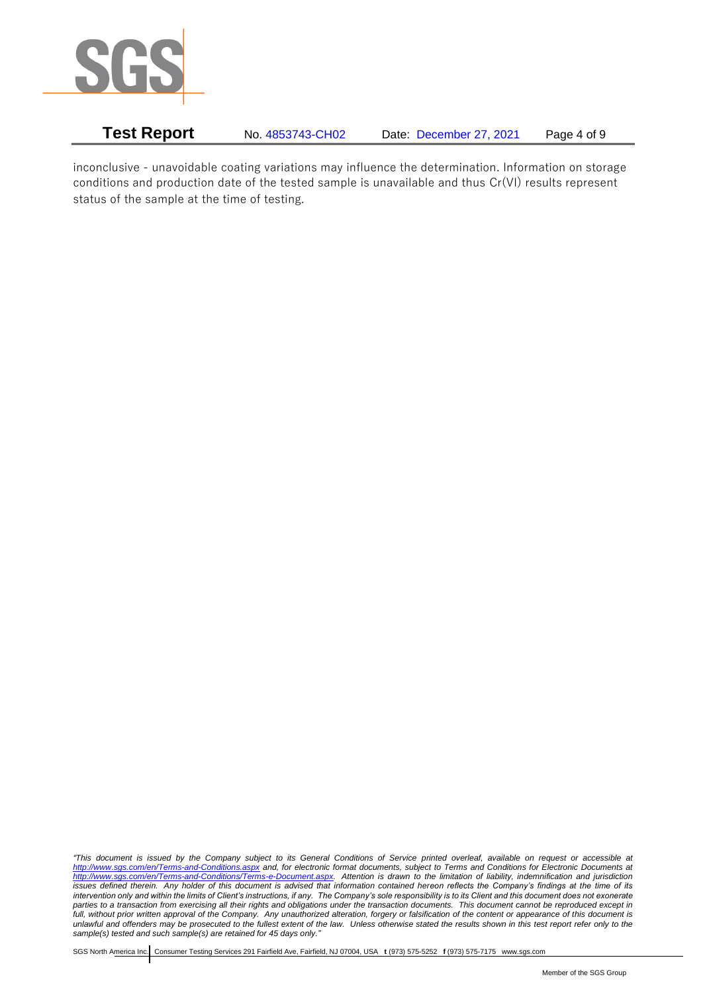

**Test Report** No. 4853743-CH02 Date: December 27, 2021 Page 4 of 9

inconclusive - unavoidable coating variations may influence the determination. Information on storage conditions and production date of the tested sample is unavailable and thus Cr(VI) results represent status of the sample at the time of testing.

*"This document is issued by the Company subject to its General Conditions of Service printed overleaf, available on request or accessible at <http://www.sgs.com/en/Terms-and-Conditions.aspx> and, for electronic format documents, subject to Terms and Conditions for Electronic Documents at [http://www.sgs.com/en/Terms-and-Conditions/Terms-e-Document.aspx.](http://www.sgs.com/en/Terms-and-Conditions/Terms-e-Document.aspx) Attention is drawn to the limitation of liability, indemnification and jurisdiction issues defined therein. Any holder of this document is advised that information contained hereon reflects the Company's findings at the time of its intervention only and within the limits of Client's instructions, if any. The Company's sole responsibility is to its Client and this document does not exonerate parties to a transaction from exercising all their rights and obligations under the transaction documents. This document cannot be reproduced except in full, without prior written approval of the Company. Any unauthorized alteration, forgery or falsification of the content or appearance of this document is unlawful and offenders may be prosecuted to the fullest extent of the law. Unless otherwise stated the results shown in this test report refer only to the sample(s) tested and such sample(s) are retained for 45 days only."*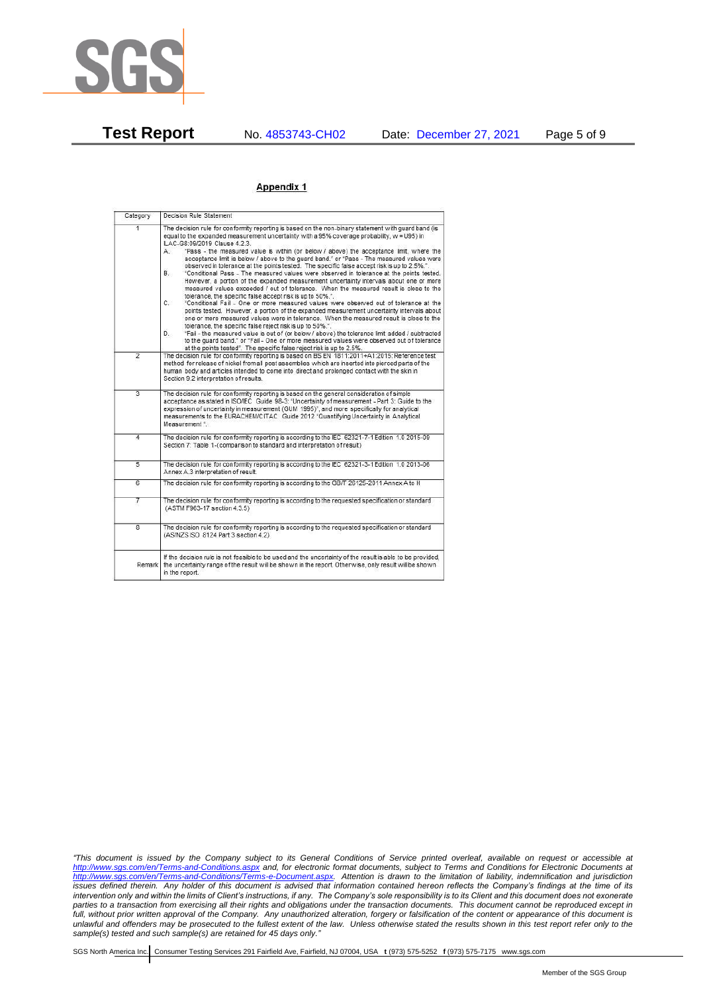

#### Appendix 1

| Category       | Decision Rule Statement                                                                                                                                                                                                                                                                                                                                                                                                                                                                                                                                                                                                                                                                                                                                                                                                                                                                                                                                                                                                                                                                                                                                                                                                                                                                                                                                                                                                                                                                                            |
|----------------|--------------------------------------------------------------------------------------------------------------------------------------------------------------------------------------------------------------------------------------------------------------------------------------------------------------------------------------------------------------------------------------------------------------------------------------------------------------------------------------------------------------------------------------------------------------------------------------------------------------------------------------------------------------------------------------------------------------------------------------------------------------------------------------------------------------------------------------------------------------------------------------------------------------------------------------------------------------------------------------------------------------------------------------------------------------------------------------------------------------------------------------------------------------------------------------------------------------------------------------------------------------------------------------------------------------------------------------------------------------------------------------------------------------------------------------------------------------------------------------------------------------------|
| $\overline{1}$ | The decision rule for conformity reporting is based on the non-binary statement with quard band (is<br>equal to the expanded measurement uncertainty with a 95% coverage probability, w = U95) in<br>ILAC-G8:09/2019 Clause 4.2.3.<br>"Pass - the measured value is within (or below / above) the acceptance limit, where the<br>А.<br>acceptance limit is below / above to the quard band." or "Pass - The measured values were<br>observed in tolerance at the points tested. The specific false accept risk is up to 2.5%.".<br>B.<br>"Conditional Pass - The measured values were observed in tolerance at the points tested.<br>However, a portion of the expanded measurement uncertainty intervals about one or more<br>measured values exceeded / out of tolerance. When the measured result is close to the<br>tolerance, the specific false accept risk is up to 50%.".<br>C.<br>"Conditional Fail - One or more measured values were observed out of tolerance at the<br>points tested. However, a portion of the expanded measurement uncertainty intervals about<br>one or more measured values were in tolerance. When the measured result is close to the<br>tolerance, the specific false reject risk is up to 50%.".<br>"Fail - the measured value is out of (or below / above) the tolerance limit added / subtracted<br>D.<br>to the quard band." or "Fail - One or more measured values were observed out of tolerance<br>at the points tested". The specific false reject risk is up to 2.5%. |
| $\overline{2}$ | The decision rule for conformity reporting is based on BS EN 1811:2011+A1:2015: Reference test<br>method for release of nickel from all post assemblies which are inserted into pierced parts of the<br>human body and articles intended to come into direct and prolonged contact with the skin in<br>Section 9.2 interpretation of results.                                                                                                                                                                                                                                                                                                                                                                                                                                                                                                                                                                                                                                                                                                                                                                                                                                                                                                                                                                                                                                                                                                                                                                      |
| $\overline{3}$ | The decision rule for conformity reporting is based on the general consideration of simple<br>acceptance as stated in ISO/IEC Guide 98-3: "Uncertainty of measurement - Part 3: Guide to the<br>expression of uncertainty in measurement (GUM 1995)", and more specifically for analytical<br>measurements to the EURACHEM/CITAC Guide 2012 "Quantifying Uncertainty in Analytical<br>Measurement *                                                                                                                                                                                                                                                                                                                                                                                                                                                                                                                                                                                                                                                                                                                                                                                                                                                                                                                                                                                                                                                                                                                |
| 4              | The decision rule for conformity reporting is according to the IEC 62321-7-1 Edition 1.0 2015-09<br>Section 7: Table 1-(comparison to standard and interpretation of result)                                                                                                                                                                                                                                                                                                                                                                                                                                                                                                                                                                                                                                                                                                                                                                                                                                                                                                                                                                                                                                                                                                                                                                                                                                                                                                                                       |
| $\overline{5}$ | The decision rule for conformity reporting is according to the IEC 62321-3-1 Edition 1.0 2013-06<br>Annex A.3 interpretation of result.                                                                                                                                                                                                                                                                                                                                                                                                                                                                                                                                                                                                                                                                                                                                                                                                                                                                                                                                                                                                                                                                                                                                                                                                                                                                                                                                                                            |
| 6              | The decision rule for conformity reporting is according to the GB/T 26125-2011 Annex A to H                                                                                                                                                                                                                                                                                                                                                                                                                                                                                                                                                                                                                                                                                                                                                                                                                                                                                                                                                                                                                                                                                                                                                                                                                                                                                                                                                                                                                        |
| 7              | The decision rule for conformity reporting is according to the requested specification or standard<br>(ASTM F963-17 section 4.3.5)                                                                                                                                                                                                                                                                                                                                                                                                                                                                                                                                                                                                                                                                                                                                                                                                                                                                                                                                                                                                                                                                                                                                                                                                                                                                                                                                                                                 |
| $\overline{8}$ | The decision rule for conformity reporting is according to the requested specification or standard<br>(AS/NZS ISO 8124 Part 3 section 4.2)                                                                                                                                                                                                                                                                                                                                                                                                                                                                                                                                                                                                                                                                                                                                                                                                                                                                                                                                                                                                                                                                                                                                                                                                                                                                                                                                                                         |
| Remark I       | If the decision rule is not feasible to be used and the uncertainty of the result is able to be provided.<br>the uncertainty range of the result will be shown in the report. Otherwise, only result will be shown<br>in the report.                                                                                                                                                                                                                                                                                                                                                                                                                                                                                                                                                                                                                                                                                                                                                                                                                                                                                                                                                                                                                                                                                                                                                                                                                                                                               |

*"This document is issued by the Company subject to its General Conditions of Service printed overleaf, available on request or accessible at <http://www.sgs.com/en/Terms-and-Conditions.aspx> and, for electronic format documents, subject to Terms and Conditions for Electronic Documents at [http://www.sgs.com/en/Terms-and-Conditions/Terms-e-Document.aspx.](http://www.sgs.com/en/Terms-and-Conditions/Terms-e-Document.aspx) Attention is drawn to the limitation of liability, indemnification and jurisdiction issues defined therein. Any holder of this document is advised that information contained hereon reflects the Company's findings at the time of its intervention only and within the limits of Client's instructions, if any. The Company's sole responsibility is to its Client and this document does not exonerate parties to a transaction from exercising all their rights and obligations under the transaction documents. This document cannot be reproduced except in full, without prior written approval of the Company. Any unauthorized alteration, forgery or falsification of the content or appearance of this document is unlawful and offenders may be prosecuted to the fullest extent of the law. Unless otherwise stated the results shown in this test report refer only to the sample(s) tested and such sample(s) are retained for 45 days only."*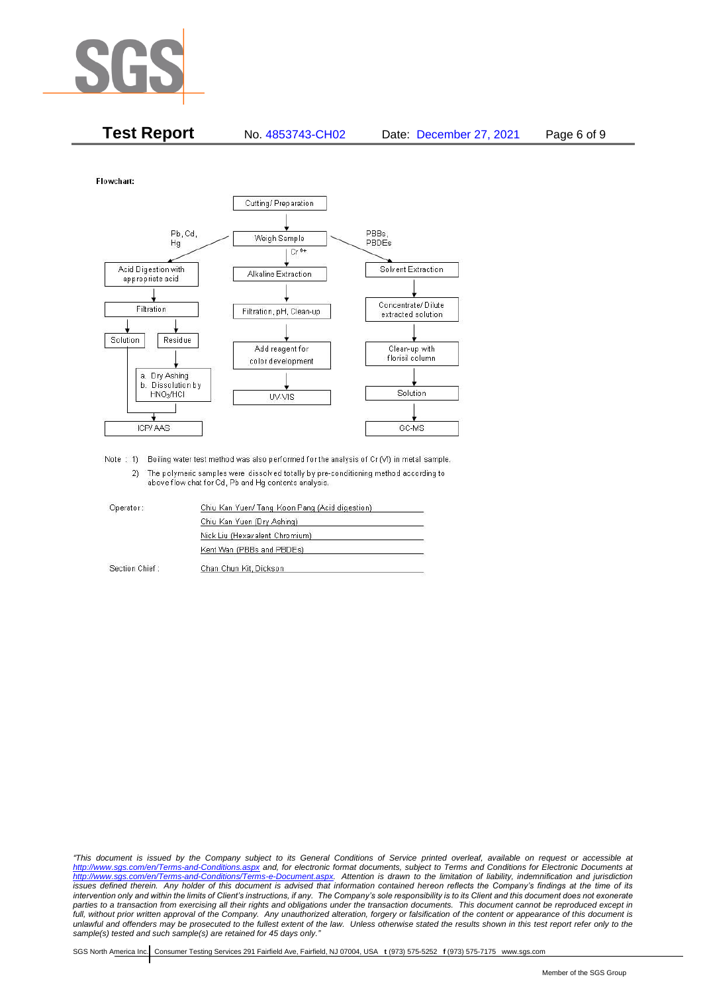

| <b>Test Report</b> | No. 4853743-CH02 | Date: December 27, 2021 | Page 6 of 9 |
|--------------------|------------------|-------------------------|-------------|
|                    |                  |                         |             |

Flowchart:



Note : 1) Boiling water test method was also performed for the analysis of Cr (VI) in metal sample. 2) The polymeric samples were dissolved totally by pre-conditioning method according to above flow chat for Cd, Pb and Hg contents analysis

| Operator       | Chiu Kan Yuen/ Tang Koon Pang (Acid digestion) |  |
|----------------|------------------------------------------------|--|
|                | Chiu Kan Yuen (Dry Ashing)                     |  |
|                | Nick Liu (Hexavalent Chromium)                 |  |
|                | Kent Wan (PBBs and PBDEs)                      |  |
| Section Chief: | Chan Chun Kit, Dickson                         |  |

*"This document is issued by the Company subject to its General Conditions of Service printed overleaf, available on request or accessible at <http://www.sgs.com/en/Terms-and-Conditions.aspx> and, for electronic format documents, subject to Terms and Conditions for Electronic Documents at [http://www.sgs.com/en/Terms-and-Conditions/Terms-e-Document.aspx.](http://www.sgs.com/en/Terms-and-Conditions/Terms-e-Document.aspx) Attention is drawn to the limitation of liability, indemnification and jurisdiction issues defined therein. Any holder of this document is advised that information contained hereon reflects the Company's findings at the time of its intervention only and within the limits of Client's instructions, if any. The Company's sole responsibility is to its Client and this document does not exonerate*  parties to a transaction from exercising all their rights and obligations under the transaction documents. This document cannot be reproduced except in *full, without prior written approval of the Company. Any unauthorized alteration, forgery or falsification of the content or appearance of this document is unlawful and offenders may be prosecuted to the fullest extent of the law. Unless otherwise stated the results shown in this test report refer only to the sample(s) tested and such sample(s) are retained for 45 days only."*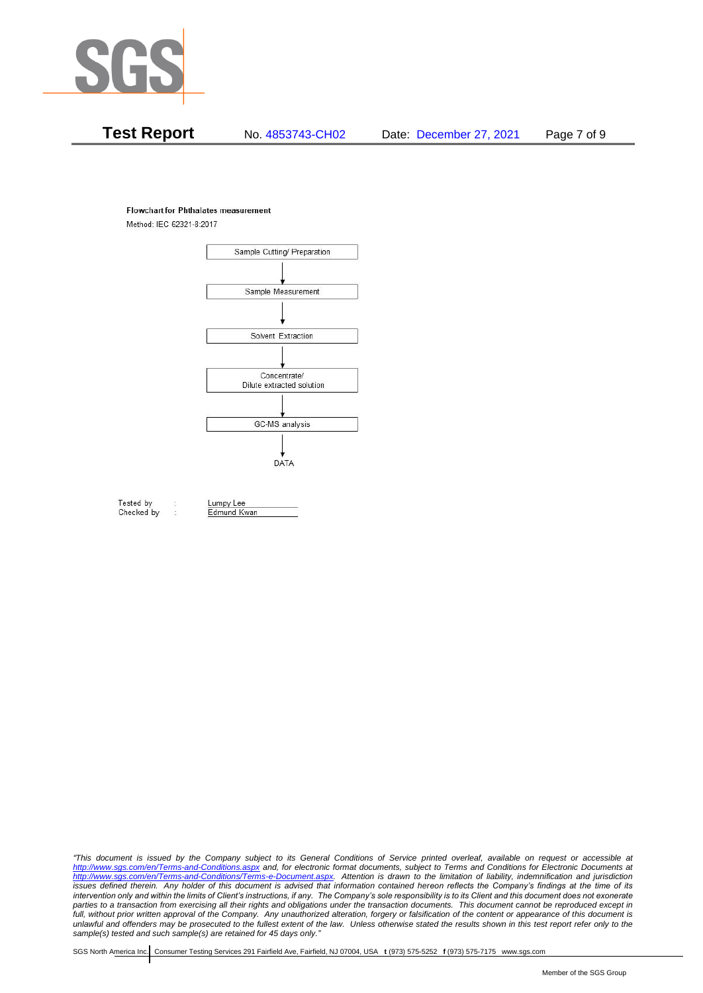

#### **Flowchart for Phthalates measurement**

Method: IEC 62321-8:2017



Tested by Checked by Lumpy Lee

Edmund Kwan

*"This document is issued by the Company subject to its General Conditions of Service printed overleaf, available on request or accessible at <http://www.sgs.com/en/Terms-and-Conditions.aspx> and, for electronic format documents, subject to Terms and Conditions for Electronic Documents at [http://www.sgs.com/en/Terms-and-Conditions/Terms-e-Document.aspx.](http://www.sgs.com/en/Terms-and-Conditions/Terms-e-Document.aspx) Attention is drawn to the limitation of liability, indemnification and jurisdiction issues defined therein. Any holder of this document is advised that information contained hereon reflects the Company's findings at the time of its intervention only and within the limits of Client's instructions, if any. The Company's sole responsibility is to its Client and this document does not exonerate*  parties to a transaction from exercising all their rights and obligations under the transaction documents. This document cannot be reproduced except in *full, without prior written approval of the Company. Any unauthorized alteration, forgery or falsification of the content or appearance of this document is unlawful and offenders may be prosecuted to the fullest extent of the law. Unless otherwise stated the results shown in this test report refer only to the sample(s) tested and such sample(s) are retained for 45 days only."*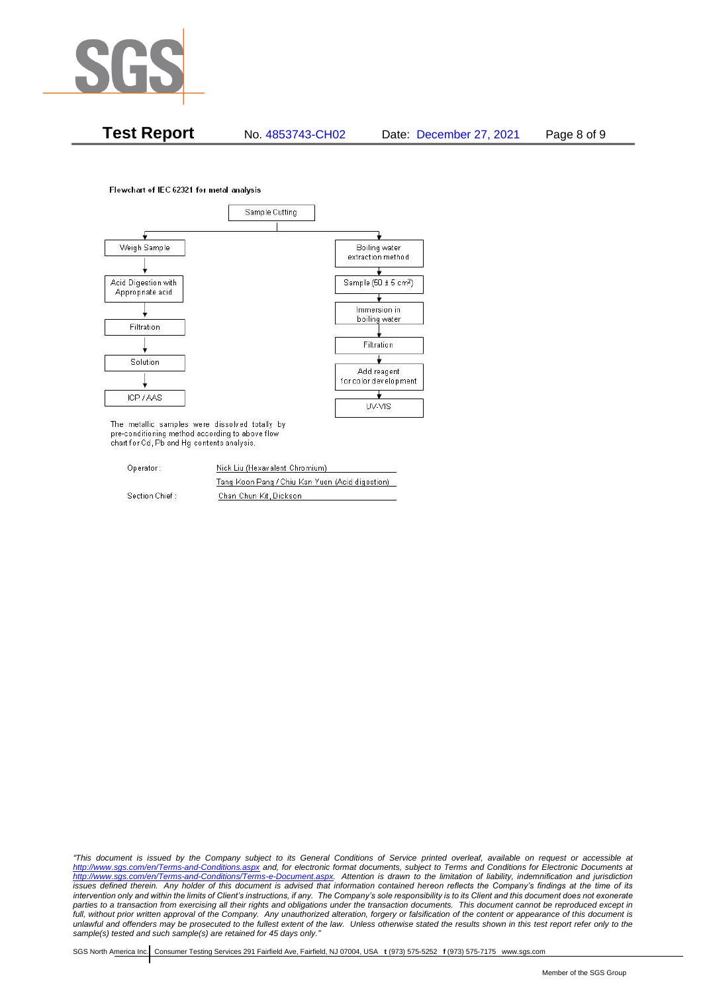

**Test Report** No. 4853743-CH02 Date: December 27, 2021 Page 8 of 9

Flowchart of IEC 62321 for metal analysis



The metallic samples were dissolved totally by pre-conditioning method according to above flow chart for Cd, Pb and Hg contents analysis.

| Operator:      | Nick Liu (Hexavalent Chromium)                  |  |  |
|----------------|-------------------------------------------------|--|--|
|                | Tang Koon Pang / Chiu Kan Yuen (Acid digestion) |  |  |
| Section Chief: | Chan Chun Kit, Dickson                          |  |  |

*"This document is issued by the Company subject to its General Conditions of Service printed overleaf, available on request or accessible at <http://www.sgs.com/en/Terms-and-Conditions.aspx> and, for electronic format documents, subject to Terms and Conditions for Electronic Documents at [http://www.sgs.com/en/Terms-and-Conditions/Terms-e-Document.aspx.](http://www.sgs.com/en/Terms-and-Conditions/Terms-e-Document.aspx) Attention is drawn to the limitation of liability, indemnification and jurisdiction issues defined therein. Any holder of this document is advised that information contained hereon reflects the Company's findings at the time of its intervention only and within the limits of Client's instructions, if any. The Company's sole responsibility is to its Client and this document does not exonerate*  parties to a transaction from exercising all their rights and obligations under the transaction documents. This document cannot be reproduced except in *full, without prior written approval of the Company. Any unauthorized alteration, forgery or falsification of the content or appearance of this document is unlawful and offenders may be prosecuted to the fullest extent of the law. Unless otherwise stated the results shown in this test report refer only to the sample(s) tested and such sample(s) are retained for 45 days only."*